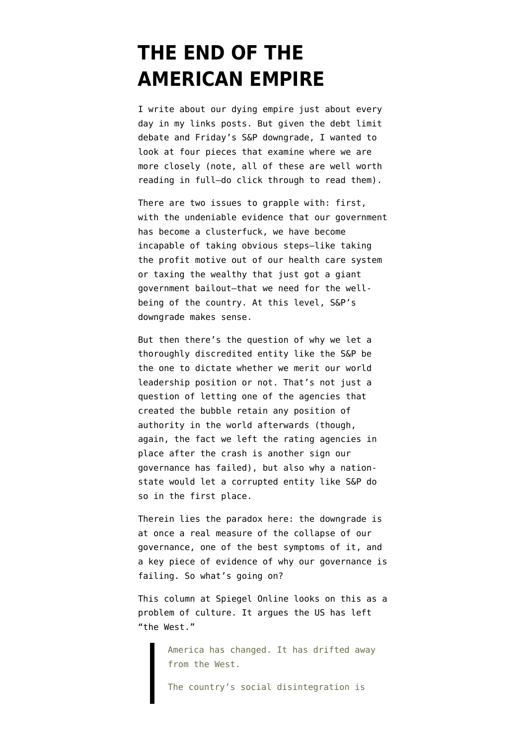## **[THE END OF THE](https://www.emptywheel.net/2011/08/07/the-end-of-the-american-empire/) [AMERICAN EMPIRE](https://www.emptywheel.net/2011/08/07/the-end-of-the-american-empire/)**

I write about our dying empire just about every day in my links posts. But given the debt limit debate and Friday's S&P downgrade, I wanted to look at four pieces that examine where we are more closely (note, all of these are well worth reading in full–do click through to read them).

There are two issues to grapple with: first, with the undeniable evidence that our government has become a clusterfuck, we have become incapable of taking obvious steps–like taking the profit motive out of our health care system or taxing the wealthy that just got a giant government bailout–that we need for the wellbeing of the country. At this level, S&P's downgrade makes sense.

But then there's the question of why we let a thoroughly discredited entity like the S&P be the one to dictate whether we merit our world leadership position or not. That's not just a question of letting one of the agencies that created the bubble retain any position of authority in the world afterwards (though, again, the fact we left the rating agencies in place after the crash is another sign our governance has failed), but also why a nationstate would let a corrupted entity like S&P do so in the first place.

Therein lies the paradox here: the downgrade is at once a real measure of the collapse of our governance, one of the best symptoms of it, and a key piece of evidence of why our governance is failing. So what's going on?

[This column](http://www.spiegel.de/international/world/0,1518,778396,00.html) at Spiegel Online looks on this as a problem of culture. It argues the US has left "the West."

> America has changed. It has drifted away from the West.

The country's social disintegration is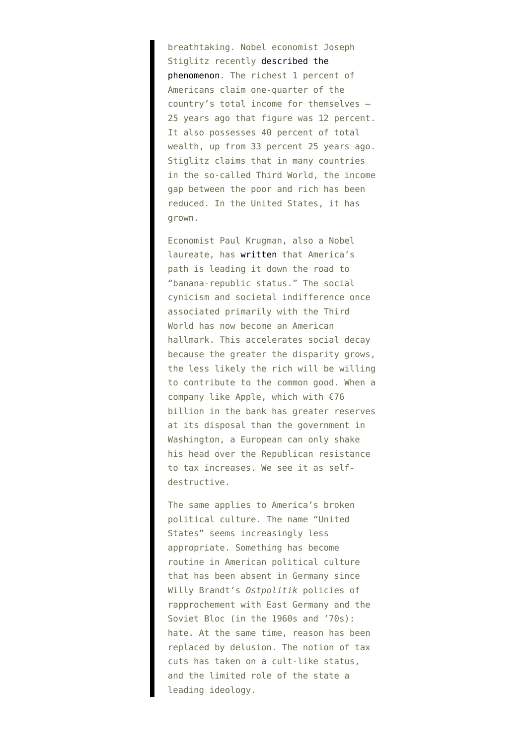breathtaking. Nobel economist Joseph Stiglitz recently [described the](http://www.vanityfair.com/society/features/2011/05/top-one-percent-201105) [phenomenon](http://www.vanityfair.com/society/features/2011/05/top-one-percent-201105). The richest 1 percent of Americans claim one-quarter of the country's total income for themselves — 25 years ago that figure was 12 percent. It also possesses 40 percent of total wealth, up from 33 percent 25 years ago. Stiglitz claims that in many countries in the so-called Third World, the income gap between the poor and rich has been reduced. In the United States, it has grown.

Economist Paul Krugman, also a Nobel laureate, has [written](http://www.nytimes.com/2011/08/01/opinion/the-president-surrenders-on-debt-ceiling.html) that America's path is leading it down the road to "banana-republic status." The social cynicism and societal indifference once associated primarily with the Third World has now become an American hallmark. This accelerates social decay because the greater the disparity grows, the less likely the rich will be willing to contribute to the common good. When a company like Apple, which with €76 billion in the bank has greater reserves at its disposal than the government in Washington, a European can only shake his head over the Republican resistance to tax increases. We see it as selfdestructive.

The same applies to America's broken political culture. The name "United States" seems increasingly less appropriate. Something has become routine in American political culture that has been absent in Germany since Willy Brandt's *Ostpolitik* policies of rapprochement with East Germany and the Soviet Bloc (in the 1960s and '70s): hate. At the same time, reason has been replaced by delusion. The notion of tax cuts has taken on a cult-like status, and the limited role of the state a leading ideology.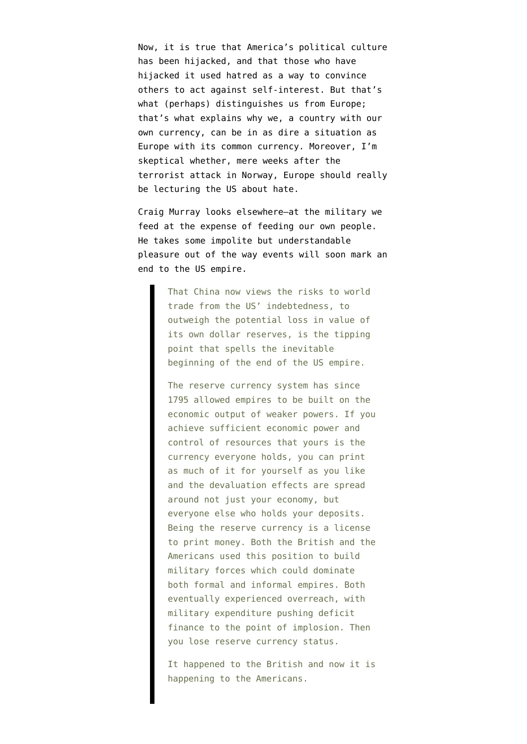Now, it is true that America's political culture has been hijacked, and that those who have hijacked it used hatred as a way to convince others to act against self-interest. But that's what (perhaps) distinguishes us from Europe; that's what explains why we, a country with our own currency, can be in as dire a situation as Europe with its common currency. Moreover, I'm skeptical whether, mere weeks after the terrorist attack in Norway, Europe should really be lecturing the US about hate.

Craig Murray looks elsewhere–at the military we feed at the expense of feeding our own people. He [takes some impolite but understandable](http://www.craigmurray.org.uk/archives/2011/08/end-of-the-american-empire/) [pleasure](http://www.craigmurray.org.uk/archives/2011/08/end-of-the-american-empire/) out of the way events will soon mark an end to the US empire.

> That China now views the risks to world trade from the US' indebtedness, to outweigh the potential loss in value of its own dollar reserves, is the tipping point that spells the inevitable beginning of the end of the US empire.

The reserve currency system has since 1795 allowed empires to be built on the economic output of weaker powers. If you achieve sufficient economic power and control of resources that yours is the currency everyone holds, you can print as much of it for yourself as you like and the devaluation effects are spread around not just your economy, but everyone else who holds your deposits. Being the reserve currency is a license to print money. Both the British and the Americans used this position to build military forces which could dominate both formal and informal empires. Both eventually experienced overreach, with military expenditure pushing deficit finance to the point of implosion. Then you lose reserve currency status.

It happened to the British and now it is happening to the Americans.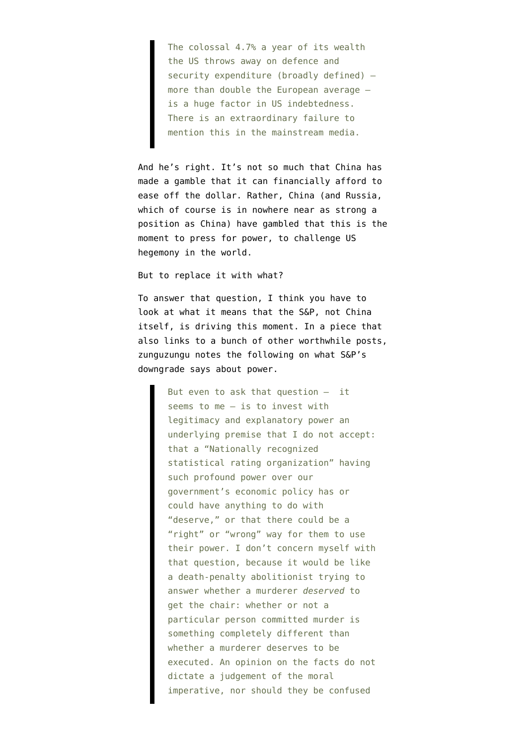The colossal 4.7% a year of its wealth the US throws away on defence and security expenditure (broadly defined) – more than double the European average – is a huge factor in US indebtedness. There is an extraordinary failure to mention this in the mainstream media.

And he's right. It's not so much that China has made a gamble that it can financially afford to ease off the dollar. Rather, China (and Russia, which of course is in nowhere near as strong a position as China) have gambled that this is the moment to press for power, to challenge US hegemony in the world.

But to replace it with what?

To answer that question, I think you have to look at what it means that the S&P, not China itself, is driving this moment. In a piece that also links to a bunch of other worthwhile posts, zunguzungu [notes](https://zunguzungu.wordpress.com/2011/08/06/reading-about-the-credit-downgrade/) the following on what S&P's downgrade says about power.

> But even to ask that question — it seems to me — is to invest with legitimacy and explanatory power an underlying premise that I do not accept: that a "Nationally recognized statistical rating organization" having such profound power over our government's economic policy has or could have anything to do with "deserve," or that there could be a "right" or "wrong" way for them to use their power. I don't concern myself with that question, because it would be like a death-penalty abolitionist trying to answer whether a murderer *deserved* to get the chair: whether or not a particular person committed murder is something completely different than whether a murderer deserves to be executed. An opinion on the facts do not dictate a judgement of the moral imperative, nor should they be confused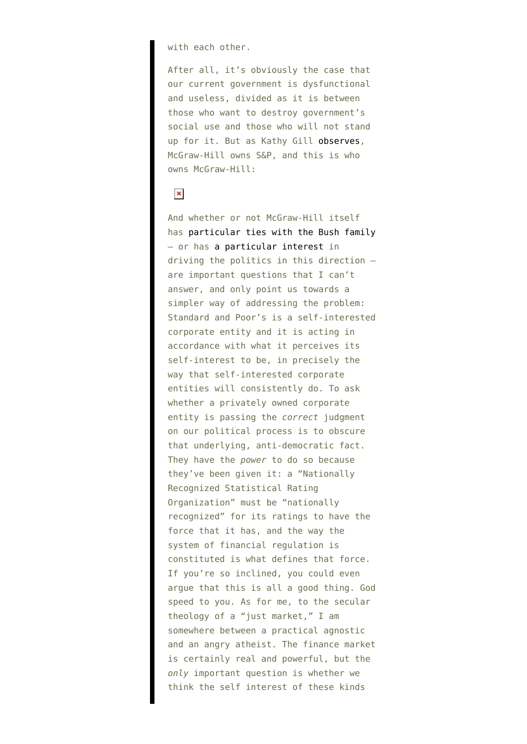with each other.

After all, it's obviously the case that our current government is dysfunctional and useless, divided as it is between those who want to destroy government's social use and those who will not stand up for it. But as Kathy Gill [observes,](http://themoderatevoice.com/118895/sp-timeline-culpability-then-threats/) McGraw-Hill owns S&P, and this is who owns McGraw-Hill:

## $\pmb{\times}$

And whether or not McGraw-Hill itself has [particular ties with the Bush family](http://www.thenation.com/article/reading-between-lines) — or has [a particular interest](http://www.nakedcapitalism.com/2011/07/is-standard-and-poor%e2%80%99s-manipulating-us-debt-rating-to-escape-liability-for-the-mortgage-crisis.html) in driving the politics in this direction are important questions that I can't answer, and only point us towards a simpler way of addressing the problem: Standard and Poor's is a self-interested corporate entity and it is acting in accordance with what it perceives its self-interest to be, in precisely the way that self-interested corporate entities will consistently do. To ask whether a privately owned corporate entity is passing the *correct* judgment on our political process is to obscure that underlying, anti-democratic fact. They have the *power* to do so because they've been given it: a "Nationally Recognized Statistical Rating Organization" must be "nationally recognized" for its ratings to have the force that it has, and the way the system of financial regulation is constituted is what defines that force. If you're so inclined, you could even argue that this is all a good thing. God speed to you. As for me, to the secular theology of a "just market," I am somewhere between a practical agnostic and an angry atheist. The finance market is certainly real and powerful, but the *only* important question is whether we think the self interest of these kinds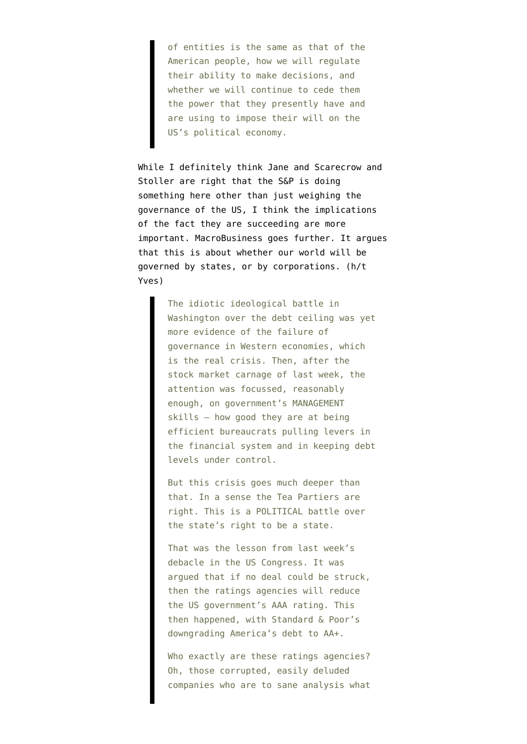of entities is the same as that of the American people, how we will regulate their ability to make decisions, and whether we will continue to cede them the power that they presently have and are using to impose their will on the US's political economy.

While I definitely think [Jane](http://firedoglake.com/2011/08/05/the-pms-of-sp/) and [Scarecrow](http://firedoglake.com/2011/07/29/what-is-standard-and-poors-agenda-because-it-aint-about-default-risk-or-economics/) and [Stoller](http://www.nakedcapitalism.com/2011/08/matt-stoller-standard-poor%E2%80%99s-predatory-policy-agenda.html) are right that the S&P is doing something here other than just weighing the governance of the US, I think the implications of the fact they are succeeding are more important. MacroBusiness goes further. It [argues](http://www.macrobusiness.com.au/2011/08/the-governance-of-money/) that this is about whether our world will be governed by states, or by corporations. (h/t [Yves](http://www.nakedcapitalism.com/2011/08/will-sp-downgrade-be-another-y2k-scare.html))

> The idiotic ideological battle in Washington over the debt ceiling was yet more evidence of the failure of governance in Western economies, which is the real crisis. Then, after the stock market carnage of last week, the attention was focussed, reasonably enough, on government's MANAGEMENT skills — how good they are at being efficient bureaucrats pulling levers in the financial system and in keeping debt levels under control.

But this crisis goes much deeper than that. In a sense the Tea Partiers are right. This is a POLITICAL battle over the state's right to be a state.

That was the lesson from last week's debacle in the US Congress. It was argued that if no deal could be struck, then the ratings agencies will reduce the US government's AAA rating. This then happened, with Standard & Poor's downgrading America's debt to AA+.

Who exactly are these ratings agencies? Oh, those corrupted, easily deluded companies who are to sane analysis what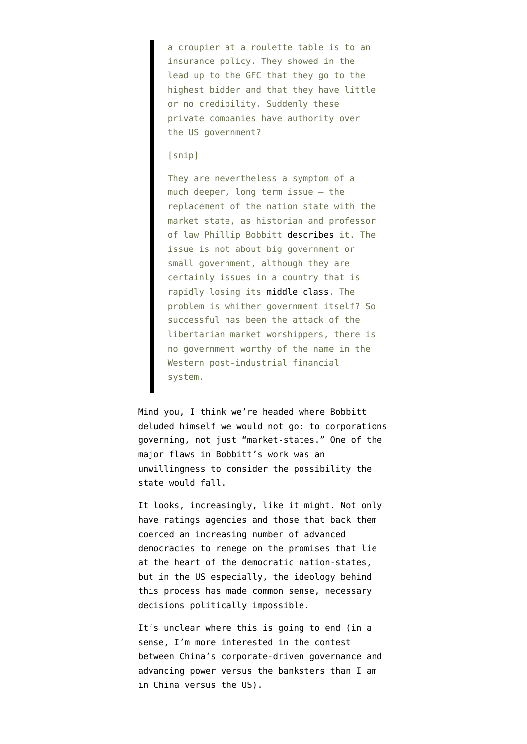a croupier at a roulette table is to an insurance policy. They showed in the lead up to the GFC that they go to the highest bidder and that they have little or no credibility. Suddenly these private companies have authority over the US government?

## [snip]

They are nevertheless a symptom of a much deeper, long term issue — the replacement of the nation state with the market state, as historian and professor of law Phillip Bobbitt [describes](http://en.wikipedia.org/wiki/The_Shield_of_Achilles:_War,_Peace,_and_the_Course_of_History) it. The issue is not about big government or small government, although they are certainly issues in a country that is rapidly losing its [middle class.](http://townhall.com/columnists/michaelgerson/2011/07/28/the_strange_death_of_domestic_policy) The problem is whither government itself? So successful has been the attack of the libertarian market worshippers, there is no government worthy of the name in the Western post-industrial financial system.

Mind you, I think we're headed where Bobbitt deluded himself we would not go: to corporations governing, not just "market-states." One of the major flaws in Bobbitt's work was an unwillingness to consider the possibility the state would fall.

It looks, increasingly, like it might. Not only have ratings agencies and those that back them coerced an increasing number of advanced democracies to renege on the promises that lie at the heart of the democratic nation-states, but in the US especially, the ideology behind this process has made common sense, necessary decisions politically impossible.

It's unclear where this is going to end (in a sense, I'm more interested in the contest between China's corporate-driven governance and advancing power versus the banksters than I am in China versus the US).